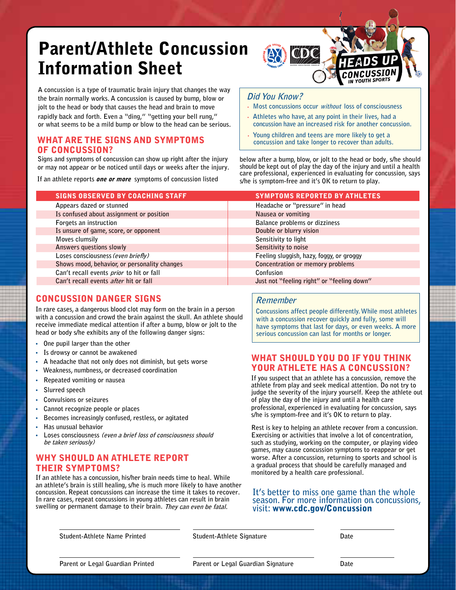# Parent/Athlete Concussion Information Sheet

**A concussion is a type of traumatic brain injury that changes the way the brain normally works. A concussion is caused by bump, blow or jolt to the head or body that causes the head and brain to move rapidly back and forth. Even a "ding," "getting your bell rung," or what seems to be a mild bump or blow to the head can be serious.** 

#### WHAT ARE THE SIGNS AND SYMPTOMS OF CONCUSSION?

**Signs and symptoms of concussion can show up right after the injury or may not appear or be noticed until days or weeks after the injury.** 

**If an athlete reports** one or more **symptoms of concussion listed** 

SIGNS OBSERVED BY COACHING STAFF **Appears dazed or stunned Is confused about assignment or position Forgets an instruction Is unsure of game, score, or opponent Moves clumsily Answers questions slowly Loses consciousness (even briefly) Shows mood, behavior, or personality changes Can't recall events prior to hit or fall Can't recall events after hit or fall** SYMPTOMS REPORTED BY ATHLETES **Headache or "pressure" in head Nausea or vomiting Balance problems or dizziness Double or blurry vision Sensitivity to light Sensitivity to noise Feeling sluggish, hazy, foggy, or groggy Concentration or memory problems Confusion**

### CONCUSSION DANGER SIGNS

**In rare cases, a dangerous blood clot may form on the brain in a person with a concussion and crowd the brain against the skull. An athlete should receive immediate medical attention if after a bump, blow or jolt to the head or body s/he exhibits any of the following danger signs:** 

- **One pupil larger than the other**
- **Is drowsy or cannot be awakened**
- **A headache that not only does not diminish, but gets worse**
- **Weakness, numbness, or decreased coordination**
- **Repeated vomiting or nausea**
- **Slurred speech**
- **Convulsions or seizures**
- **Cannot recognize people or places**
- **Becomes increasingly confused, restless, or agitated**
- **Has unusual behavior**
- **Loses consciousness (even a brief loss of consciousness should be taken seriously)**

### WHY SHOULD AN ATHLETE REPORT THEIR SYMPTOMS?

**If an athlete has a concussion, his/her brain needs time to heal. While an athlete's brain is still healing, s/he is much more likely to have another concussion. Repeat concussions can increase the time it takes to recover. In rare cases, repeat concussions in young athletes can result in brain swelling or permanent damage to their brain. They can even be fatal.**

#### • **Most concussions occur without loss of consciousness**  • **Athletes who have, at any point in their lives, had a**

**Did You Know?**

- **concussion have an increased risk for another concussion.**  • **Young children and teens are more likely to get a**
- **concussion and take longer to recover than adults.**

WDC

**below after a bump, blow, or jolt to the head or body, s/he should should be kept out of play the day of the injury and until a health care professional, experienced in evaluating for concussion, says s/he is symptom-free and it's OK to return to play.** 

| STMPTUMS REPURTED BT ATHLETES              |
|--------------------------------------------|
| Headache or "pressure" in head             |
| Nausea or vomiting                         |
| Balance problems or dizziness              |
| Double or blurry vision                    |
| Sensitivity to light                       |
| Sensitivity to noise                       |
| Feeling sluggish, hazy, foggy, or groggy   |
| Concentration or memory problems           |
| Confusion                                  |
| Just not "feeling right" or "feeling down" |

#### **Remember**

**Concussions affect people differently.While most athletes with a concussion recover quickly and fully, some will have symptoms that last for days, or even weeks. A more serious concussion can last for months or longer.**

### WHAT SHOULD YOU DO IF YOU THINK YOUR ATHLETE HAS A CONCUSSION?

**If you suspect that an athlete has a concussion, remove the athlete from play and seek medical attention. Do not try to judge the severity of the injury yourself. Keep the athlete out of play the day of the injury and until a health care professional, experienced in evaluating for concussion, says s/he is symptom-free and it's OK to return to play.** 

**Rest is key to helping an athlete recover from a concussion. Exercising or activities that involve a lot of concentration, such as studying, working on the computer, or playing video games, may cause concussion symptoms to reappear or get worse. After a concussion, returning to sports and school is a gradual process that should be carefully managed and monitored by a health care professional.**

## **It's better to miss one game than the whole season. For more information on concussions, visit:** www.cdc.gov/Concussion**.**

**Student-Athlete Name Printed Student-Athlete Signature Date** 

**Parent or Legal Guardian Printed Parent or Legal Guardian Signature Date**